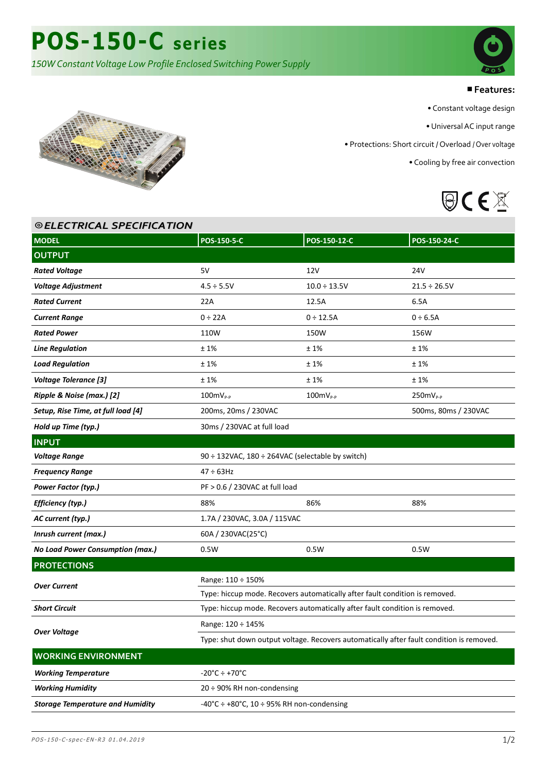# ■**Features:**

• Constant voltage design

• Universal AC input range

• Protections: Short circuit / Overload / Over voltage

• Cooling by free air convection





| <b>©ELECTRICAL SPECIFICATION</b>        |                                                                                          |                              |                   |  |  |
|-----------------------------------------|------------------------------------------------------------------------------------------|------------------------------|-------------------|--|--|
| <b>MODEL</b>                            | POS-150-5-C                                                                              | POS-150-12-C                 | POS-150-24-C      |  |  |
| <b>OUTPUT</b>                           |                                                                                          |                              |                   |  |  |
| <b>Rated Voltage</b>                    | 5V                                                                                       | 12V                          | 24V               |  |  |
| <b>Voltage Adjustment</b>               | $4.5 \div 5.5V$                                                                          | $10.0 \div 13.5V$            | $21.5 \div 26.5V$ |  |  |
| <b>Rated Current</b>                    | 22A                                                                                      | 12.5A                        | 6.5A              |  |  |
| <b>Current Range</b>                    | $0 \div 22A$                                                                             | $0 \div 12.5A$               | $0 \div 6.5A$     |  |  |
| <b>Rated Power</b>                      | 110W                                                                                     | 150W                         | 156W              |  |  |
| <b>Line Regulation</b>                  | ±1%                                                                                      | ±1%                          | ±1%               |  |  |
| <b>Load Regulation</b>                  | ±1%                                                                                      | ±1%                          | ±1%               |  |  |
| <b>Voltage Tolerance [3]</b>            | ±1%                                                                                      | ±1%                          | ±1%               |  |  |
| Ripple & Noise (max.) [2]               | $100mVP-P$                                                                               | $100 \text{mV}_{\text{P-P}}$ | $250mVP-P$        |  |  |
| Setup, Rise Time, at full load [4]      | 200ms, 20ms / 230VAC<br>500ms, 80ms / 230VAC                                             |                              |                   |  |  |
| Hold up Time (typ.)                     | 30ms / 230VAC at full load                                                               |                              |                   |  |  |
| <b>INPUT</b>                            |                                                                                          |                              |                   |  |  |
| <b>Voltage Range</b>                    | 90 ÷ 132VAC, 180 ÷ 264VAC (selectable by switch)                                         |                              |                   |  |  |
| <b>Frequency Range</b>                  | 47 ÷ 63Hz                                                                                |                              |                   |  |  |
| Power Factor (typ.)                     | PF > 0.6 / 230VAC at full load                                                           |                              |                   |  |  |
| Efficiency (typ.)                       | 88%                                                                                      | 86%                          | 88%               |  |  |
| AC current (typ.)                       | 1.7A / 230VAC, 3.0A / 115VAC                                                             |                              |                   |  |  |
| Inrush current (max.)                   | 60A / 230VAC(25°C)                                                                       |                              |                   |  |  |
| No Load Power Consumption (max.)        | 0.5W                                                                                     | 0.5W                         | 0.5W              |  |  |
| <b>PROTECTIONS</b>                      |                                                                                          |                              |                   |  |  |
| <b>Over Current</b>                     | Range: $110 \div 150\%$                                                                  |                              |                   |  |  |
|                                         | Type: hiccup mode. Recovers automatically after fault condition is removed.              |                              |                   |  |  |
| <b>Short Circuit</b>                    | Type: hiccup mode. Recovers automatically after fault condition is removed.              |                              |                   |  |  |
| <b>Over Voltage</b>                     | Range: 120 ÷ 145%                                                                        |                              |                   |  |  |
|                                         | Type: shut down output voltage. Recovers automatically after fault condition is removed. |                              |                   |  |  |
| <b>WORKING ENVIRONMENT</b>              |                                                                                          |                              |                   |  |  |
| <b>Working Temperature</b>              | $-20^{\circ}$ C ÷ +70 $^{\circ}$ C                                                       |                              |                   |  |  |
| <b>Working Humidity</b>                 | $20 \div 90\%$ RH non-condensing                                                         |                              |                   |  |  |
| <b>Storage Temperature and Humidity</b> | $-40^{\circ}$ C ÷ +80 $^{\circ}$ C, 10 ÷ 95% RH non-condensing                           |                              |                   |  |  |